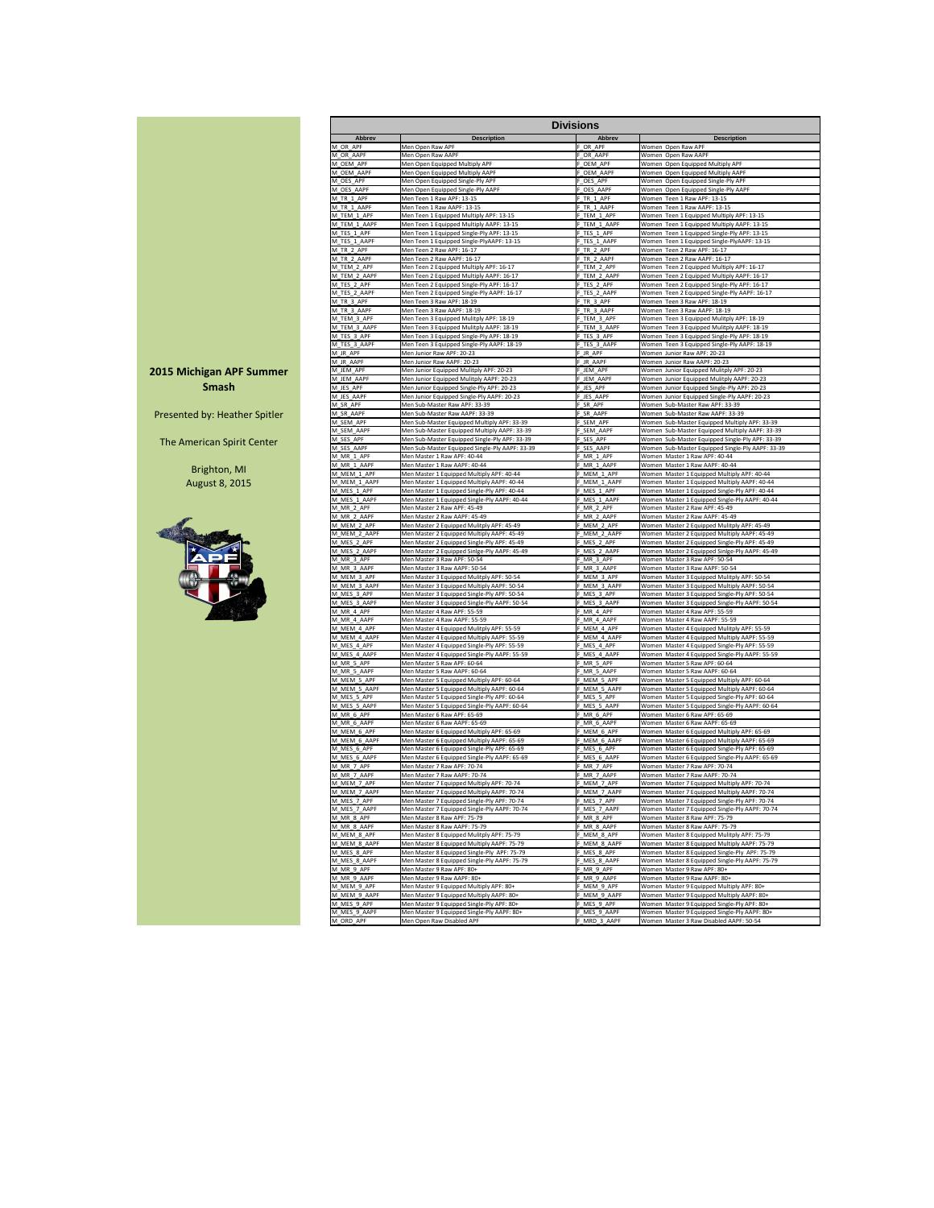|               |                                                | <b>Divisions</b> |                                                  |
|---------------|------------------------------------------------|------------------|--------------------------------------------------|
| <b>Abbrev</b> | <b>Description</b>                             | <b>Abbrev</b>    | <b>Description</b>                               |
| M OR APF      | Men Open Raw APF                               | F OR APF         | Women Open Raw APF                               |
| M_OR_AAPF     | Men Open Raw AAPF                              | F OR AAPF        | Women Open Raw AAPF                              |
| M OEM APF     | Men Open Equipped Multiply APF                 | F OEM APF        | Women Open Equipped Multiply APF                 |
| M OEM AAPF    | Men Open Equipped Multiply AAPF                | F OEM AAPF       | Women Open Equipped Multiply AAPF                |
| M_OES_APF     | Men Open Equipped Single-Ply APF               | OES APF          | Women Open Equipped Single-Ply APF               |
| M OES AAPF    | Men Open Equipped Single-Ply AAPF              | F OES AAPF       | Women Open Equipped Single-Ply AAPF              |
| M TR 1 APF    | Men Teen 1 Raw APF: 13-15                      | F TR 1 APF       | Women Teen 1 Raw APF: 13-15                      |
| M TR 1 AAPF   | Men Teen 1 Raw AAPF: 13-15                     | F TR 1 AAPF      | Women Teen 1 Raw AAPF: 13-15                     |
| M_TEM_1_APF   | Men Teen 1 Equipped Multiply APF: 13-15        | F_TEM_1_APF      | Women Teen 1 Equipped Multiply APF: 13-15        |
| M TEM 1 AAPF  | Men Teen 1 Equipped Multiply AAPF: 13-15       | F TEM 1 AAPF     | Women Teen 1 Equipped Multiply AAPF: 13-15       |
| M_TES_1_APF   | Men Teen 1 Equipped Single-Ply APF: 13-15      | F TES 1 APF      | Women Teen 1 Equipped Single-Ply APF: 13-15      |
| M TES 1 AAPF  | Men Teen 1 Equipped Single-PlyAAPF: 13-15      | F TES 1 AAPF     | Women Teen 1 Equipped Single-PlyAAPF: 13-15      |
| M TR 2 APF    | Men Teen 2 Raw APF: 16-17                      | F TR 2 APF       | Women Teen 2 Raw APF: 16-17                      |
| M_TR_2_AAPF   | Men Teen 2 Raw AAPF: 16-17                     | F_TR_2_AAPF      | Women Teen 2 Raw AAPF: 16-17                     |
| M TEM 2 APF   | Men Teen 2 Equipped Multiply APF: 16-17        | F TEM 2 APF      | Women Teen 2 Equipped Multiply APF: 16-17        |
| M_TEM_2_AAPF  | Men Teen 2 Equipped Multiply AAPF: 16-17       | F TEM 2 AAPF     | Women Teen 2 Equipped Multiply AAPF: 16-17       |
| M_TES_2_APF   | Men Teen 2 Equipped Single-Ply APF: 16-17      | F TES 2 APF      | Women Teen 2 Equipped Single-Ply APF: 16-17      |
| M_TES_2_AAPF  | Men Teen 2 Equipped Single-Ply AAPF: 16-17     | F TES 2 AAPF     | Women Teen 2 Equipped Single-Ply AAPF: 16-17     |
| M_TR_3_APF    | Men Teen 3 Raw APF: 18-19                      | F TR 3 APF       | Women Teen 3 Raw APF: 18-19                      |
| M TR 3 AAPF   | Men Teen 3 Raw AAPF: 18-19                     | F TR 3 AAPF      | Women Teen 3 Raw AAPF: 18-19                     |
| M_TEM_3_APF   | Men Teen 3 Equipped Mulitply APF: 18-19        | F_TEM_3_APF      | Women Teen 3 Equipped Mulitply APF: 18-19        |
| M TEM 3 AAPF  | Men Teen 3 Equipped Mulitply AAPF: 18-19       | F TEM 3 AAPF     | Women Teen 3 Equipped Mulitply AAPF: 18-19       |
| M_TES_3_APF   | Men Teen 3 Equipped Single-Ply APF: 18-19      | F TES 3 APF      | Women Teen 3 Equipped Single-Ply APF: 18-19      |
| M TES 3 AAPF  | Men Teen 3 Equipped Single-Ply AAPF: 18-19     | F TES 3 AAPF     | Women Teen 3 Equipped Single-Ply AAPF: 18-19     |
| M JR APF      | Men Junior Raw APF: 20-23                      | F JR APF         | Women Junior Raw APF: 20-23                      |
| M_JR_AAPF     | Men Junior Raw AAPF: 20-23                     | F_JR_AAPF        | Women Junior Raw AAPF: 20-23                     |
| M JEM APF     | Men Junior Equipped Mulitply APF: 20-23        | F JEM APF        | Women Junior Equipped Mulitply APF: 20-23        |
| M JEM AAPF    | Men Junior Equipped Mulitply AAPF: 20-23       | F JEM AAPF       | Women Junior Equipped Mulitply AAPF: 20-23       |
| M_JES_APF     | Men Junior Equipped Single-Ply APF: 20-23      | F_JES_APF        | Women Junior Equipped Single-Ply APF: 20-23      |
| M_JES_AAPF    | Men Junior Equipped Single-Ply AAPF: 20-23     | F JES AAPF       | Women Junior Equipped Single-Ply AAPF: 20-23     |
| M_SR_APF      | Men Sub-Master Raw APF: 33-39                  | F SR APF         | Women Sub-Master Raw APF: 33-39                  |
| M_SR_AAPF     | Men Sub-Master Raw AAPF: 33-39                 | F SR AAPF        | Women Sub-Master Raw AAPF: 33-39                 |
| M_SEM_APF     | Men Sub-Master Equipped Multiply APF: 33-39    | F_SEM_APF        | Women Sub-Master Equipped Multiply APF: 33-39    |
| M_SEM_AAPF    | Men Sub-Master Equipped Multiply AAPF: 33-39   | F_SEM_AAPF       | Women Sub-Master Equipped Multiply AAPF: 33-39   |
| M_SES_APF     | Men Sub-Master Equipped Single-Ply APF: 33-39  | F SES APF        | Women Sub-Master Equipped Single-Ply APF: 33-39  |
| M_SES_AAPF    | Men Sub-Master Equipped Single-Ply AAPF: 33-39 | F SES AAPF       | Women Sub-Master Equipped Single-Ply AAPF: 33-39 |
| M_MR_1_APF    | Men Master 1 Raw APF: 40-44                    | F MR 1 APF       | Women Master 1 Raw APF: 40-44                    |
| M_MR_1_AAPF   | Men Master 1 Raw AAPF: 40-44                   | F MR 1 AAPF      | Women Master 1 Raw AAPF: 40-44                   |
| M_MEM_1_APF   | Men Master 1 Equipped Multiply APF: 40-44      | F_MEM_1_APF      | Women Master 1 Equipped Multiply APF: 40-44      |
| M_MEM_1_AAPF  | Men Master 1 Equipped Multiply AAPF: 40-44     | F_MEM_1_AAPF     | Women Master 1 Equipped Multiply AAPF: 40-44     |
| M MES 1 APF   | Men Master 1 Equipped Single-Ply APF: 40-44    | F MES 1 APF      | Women Master 1 Equipped Single-Ply APF: 40-44    |
| M_MES_1_AAPF  | Men Master 1 Equipped Single-Ply AAPF: 40-44   | F_MES_1_AAPF     | Women Master 1 Equipped Single-Ply AAPF: 40-44   |
| M_MR_2_APF    | Men Master 2 Raw APF: 45-49                    | F_MR_2_APF       | Women Master 2 Raw APF: 45-49                    |
| M_MR_2_AAPF   | Men Master 2 Raw AAPF: 45-49                   | F_MR_2_AAPF      | Women Master 2 Raw AAPF: 45-49                   |
| M_MEM_2_APF   | Men Master 2 Equipped Mulitply APF: 45-49      | F_MEM_2_APF      | Women Master 2 Equipped Mulitply APF: 45-49      |
| M_MEM_2_AAPF  | Men Master 2 Equipped Multiply AAPF: 45-49     | F_MEM_2_AAPF     | Women Master 2 Equipped Multiply AAPF: 45-49     |
| M_MES_2_APF   | Men Master 2 Equipped Single-Ply APF: 45-49    | F_MES_2_APF      | Women Master 2 Equipped Single-Ply APF: 45-49    |
| M_MES_2_AAPF  | Men Master 2 Equipped Sinlge-Ply AAPF: 45-49   | F MES 2 AAPF     | Women Master 2 Equipped Sinlge-Ply AAPF: 45-49   |
| M_MR_3_APF    | Men Master 3 Raw APF: 50-54                    | F_MR_3_APF       | Women Master 3 Raw APF: 50-54                    |
| M_MR_3_AAPF   | Men Master 3 Raw AAPF: 50-54                   | F_MR_3_AAPF      | Women Master 3 Raw AAPF: 50-54                   |
| M_MEM_3_APF   | Men Master 3 Equipped Mulitply APF: 50-54      | F_MEM_3_APF      | Women Master 3 Equipped Mulitply APF: 50-54      |
| M_MEM_3_AAPF  | Men Master 3 Equipped Multiply AAPF: 50-54     | F_MEM_3_AAPF     | Women Master 3 Equipped Multiply AAPF: 50-54     |
| M_MES_3_APF   | Men Master 3 Equipped Single-Ply APF: 50-54    | F_MES_3_APF      | Women Master 3 Equipped Single-Ply APF: 50-54    |
| M_MES_3_AAPF  | Men Master 3 Equipped Single-Ply AAPF: 50-54   | F_MES_3_AAPF     | Women Master 3 Equipped Single-Ply AAPF: 50-54   |
| M_MR_4_APF    | Men Master 4 Raw APF: 55-59                    | F MR 4 APF       | Women Master 4 Raw APF: 55-59                    |
| M_MR_4_AAPF   | Men Master 4 Raw AAPF: 55-59                   | F_MR_4_AAPF      | Women Master 4 Raw AAPF: 55-59                   |
| M_MEM_4_APF   | Men Master 4 Equipped Mulitply APF: 55-59      | F MEM 4 APF      | Women Master 4 Equipped Mulitply APF: 55-59      |
| M_MEM_4_AAPF  | Men Master 4 Equipped Multiply AAPF: 55-59     | F_MEM_4_AAPF     | Women Master 4 Equipped Multiply AAPF: 55-59     |
| M MES 4 APF   | Men Master 4 Equipped Single-Ply APF: 55-59    | F MES 4 APF      | Women Master 4 Equipped Single-Ply APF: 55-59    |
| M_MES_4_AAPF  | Men Master 4 Equipped Single-Ply AAPF: 55-59   | F_MES_4_AAPF     | Women Master 4 Equipped Single-Ply AAPF: 55-59   |
| M_MR_5_APF    | Men Master 5 Raw APF: 60-64                    | F_MR_5_APF       | Women Master 5 Raw APF: 60-64                    |
| M_MR_5_AAPF   | Men Master 5 Raw AAPF: 60-64                   | F_MR_5_AAPF      | Women Master 5 Raw AAPF: 60-64                   |
| M_MEM_5_APF   | Men Master 5 Equipped Multiply APF: 60-64      | F_MEM_5_APF      | Women Master 5 Equipped Multiply APF: 60-64      |
| M_MEM_5_AAPF  | Men Master 5 Equipped Multiply AAPF: 60-64     | F MEM 5 AAPF     | Women Master 5 Equipped Multiply AAPF: 60-64     |
| M_MES_5_APF   | Men Master 5 Equipped Single-Ply APF: 60-64    | F MES 5 APF      | Women Master 5 Equipped Single-Ply APF: 60-64    |
| M_MES_5_AAPF  | Men Master 5 Equipped Single-Ply AAPF: 60-64   | F_MES_5_AAPF     | Women Master 5 Equipped Single-Ply AAPF: 60-64   |
| M_MR_6_APF    | Men Master 6 Raw APF: 65-69                    | F_MR_6_APF       | Women Master 6 Raw APF: 65-69                    |
| M_MR_6_AAPF   | Men Master 6 Raw AAPF: 65-69                   | F MR 6 AAPF      | Women Master 6 Raw AAPF: 65-69                   |
| M MEM 6 APF   | Men Master 6 Equipped Multiply APF: 65-69      | F_MEM_6_APF      | Women Master 6 Equipped Multiply APF: 65-69      |
| M_MEM_6_AAPF  | Men Master 6 Equipped Multiply AAPF: 65-69     | F_MEM_6_AAPF     | Women Master 6 Equipped Multiply AAPF: 65-69     |
| M_MES_6_APF   | Men Master 6 Equipped Single-Ply APF: 65-69    | F MES 6 APF      | Women Master 6 Equipped Single-Ply APF: 65-69    |
| M_MES_6_AAPF  | Men Master 6 Equipped Single-Ply AAPF: 65-69   | F MES 6 AAPF     | Women Master 6 Equipped Single-Ply AAPF: 65-69   |
| M_MR_7_APF    | Men Master 7 Raw APF: 70-74                    | F_MR_7_APF       | Women Master 7 Raw APF: 70-74                    |
| M MR 7 AAPF   | Men Master 7 Raw AAPF: 70-74                   | F MR 7 AAPF      | Women Master 7 Raw AAPF: 70-74                   |
| M_MEM_7_APF   | Men Master 7 Equipped Multiply APF: 70-74      | F_MEM_7_APF      | Women Master 7 Equipped Multiply APF: 70-74      |
| M_MEM_7_AAPF  | Men Master 7 Equipped Multiply AAPF: 70-74     | F_MEM_7_AAPF     | Women Master 7 Equipped Multiply AAPF: 70-74     |
| M_MES_7_APF   | Men Master 7 Equipped Single-Ply APF: 70-74    | F_MES_7_APF      | Women Master 7 Equipped Single-Ply APF: 70-74    |
| M_MES_7_AAPF  | Men Master 7 Equipped Single-Ply AAPF: 70-74   | F MES 7 AAPF     | Women Master 7 Equipped Single-Ply AAPF: 70-74   |
| M_MR_8_APF    | Men Master 8 Raw APF: 75-79                    | F_MR_8_APF       | Women Master 8 Raw APF: 75-79                    |
| M_MR_8_AAPF   | Men Master 8 Raw AAPF: 75-79                   | F_MR_8_AAPF      | Women Master 8 Raw AAPF: 75-79                   |
| M_MEM_8_APF   | Men Master 8 Equipped Mulitply APF: 75-79      | F_MEM_8_APF      | Women Master 8 Equipped Mulitply APF: 75-79      |
| M_MEM_8_AAPF  | Men Master 8 Equipped Multiply AAPF: 75-79     | F_MEM_8_AAPF     | Women Master 8 Equipped Multiply AAPF: 75-79     |
| M_MES_8_APF   | Men Master 8 Equipped Single-Ply APF: 75-79    | F_MES_8_APF      | Women Master 8 Equipped Single-Ply APF: 75-79    |
| M_MES_8_AAPF  | Men Master 8 Equipped Single-Ply AAPF: 75-79   | F_MES_8_AAPF     | Women Master 8 Equipped Single-Ply AAPF: 75-79   |
| M_MR_9_APF    | Men Master 9 Raw APF: 80+                      | F MR 9 APF       | Women Master 9 Raw APF: 80+                      |
| M_MR_9_AAPF   | Men Master 9 Raw AAPF: 80+                     | F_MR_9_AAPF      | Women Master 9 Raw AAPF: 80+                     |
| M_MEM_9_APF   | Men Master 9 Equipped Multiply APF: 80+        | F_MEM_9_APF      | Women Master 9 Equipped Multiply APF: 80+        |
| M_MEM_9_AAPF  | Men Master 9 Equipped Multiply AAPF: 80+       | F_MEM_9_AAPF     | Women Master 9 Equipped Multiply AAPF: 80+       |
| M_MES_9_APF   | Men Master 9 Equipped Single-Ply APF: 80+      | F_MES_9_APF      | Women Master 9 Equipped Single-Ply APF: 80+      |
| M_MES_9_AAPF  | Men Master 9 Equipped Single-Ply AAPF: 80+     | F_MES_9_AAPF     | Women Master 9 Equipped Single-Ply AAPF: 80+     |
| M_ORD_APF     | Men Open Raw Disabled APF                      | F_MRD_3_AAPF     | Women Master 3 Raw Disabled AAPF: 50-54          |
|               |                                                |                  |                                                  |

#### **2015 Michigan APF Summer Smash**

Presented by: Heather Spitler

The American Spirit Center

Brighton, MI August 8, 2015

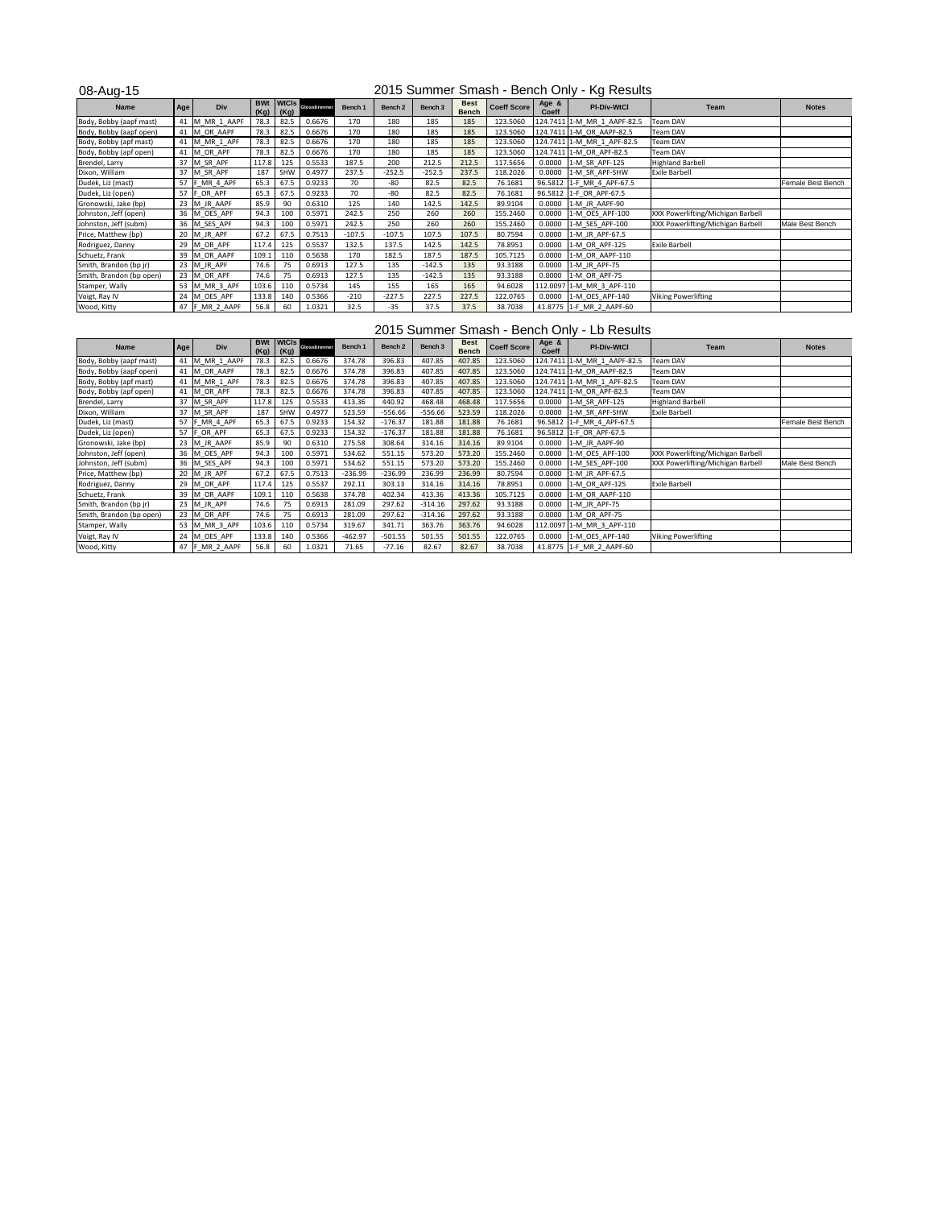08-Aug-15

| <b>Name</b>              | Age | <b>Div</b>      | <b>BWt</b><br>(Kg) | (Kg) | MtCls clossbrenner | Bench 1  | Bench 2  | Bench 3  | <b>Best</b><br><b>Bench</b> | <b>Coeff Score</b> | Age &<br><b>Coeff</b> | <b>PI-Div-WtCl</b>          | <b>Team</b>                       | <b>Notes</b>      |
|--------------------------|-----|-----------------|--------------------|------|--------------------|----------|----------|----------|-----------------------------|--------------------|-----------------------|-----------------------------|-----------------------------------|-------------------|
| Body, Bobby (aapf mast)  | 41  | M_MR_1_AAPF     | 78.3               | 82.5 | 0.6676             | 170      | 180      | 185      | 185                         | 123.5060           |                       | 124.7411 1-M MR 1 AAPF-82.5 | Team DAV                          |                   |
| Body, Bobby (aapf open)  |     | 41 M OR AAPF    | 78.3               | 82.5 | 0.6676             | 170      | 180      | 185      | 185                         | 123.5060           |                       | 124.7411 1-M OR AAPF-82.5   | Team DAV                          |                   |
| Body, Bobby (apf mast)   | 41  | M MR 1 APF      | 78.3               | 82.5 | 0.6676             | 170      | 180      | 185      | 185                         | 123.5060           |                       | 124.7411 1-M MR 1 APF-82.5  | Team DAV                          |                   |
| Body, Bobby (apf open)   | 41  | M OR APF        | 78.3               | 82.5 | 0.6676             | 170      | 180      | 185      | 185                         | 123.5060           |                       | 124.7411 1-M OR APF-82.5    | <b>Team DAV</b>                   |                   |
| Brendel, Larry           |     | 37 M SR APF     | 117.8              | 125  | 0.5533             | 187.5    | 200      | 212.5    | 212.5                       | 117.5656           | 0.0000                | 1-M SR APF-125              | <b>Highland Barbell</b>           |                   |
| Dixon, William           |     | 37 M_SR_APF     | 187                | SHW  | 0.4977             | 237.5    | $-252.5$ | $-252.5$ | 237.5                       | 118.2026           | 0.0000                | 1-M SR APF-SHW              | <b>Exile Barbell</b>              |                   |
| Dudek, Liz (mast)        |     | 57   F_MR_4_APF | 65.3               | 67.5 | 0.9233             | 70       | -80      | 82.5     | 82.5                        | 76.1681            |                       | 96.5812 1-F_MR_4_APF-67.5   |                                   | Female Best Bench |
| Dudek, Liz (open)        |     | 57 F_OR_APF     | 65.3               | 67.5 | 0.9233             | 70       | $-80$    | 82.5     | 82.5                        | 76.1681            |                       | 96.5812 1-F_OR_APF-67.5     |                                   |                   |
| Gronowski, Jake (bp)     |     | 23 M JR AAPF    | 85.9               | 90   | 0.6310             | 125      | 140      | 142.5    | 142.5                       | 89.9104            | 0.0000                | 1-M JR AAPF-90              |                                   |                   |
| Johnston, Jeff (open)    |     | 36 M_OES_APF    | 94.3               | 100  | 0.5971             | 242.5    | 250      | 260      | 260                         | 155.2460           | 0.0000                | 1-M OES APF-100             | XXX Powerlifting/Michigan Barbell |                   |
| Johnston, Jeff (subm)    |     | 36 M SES APF    | 94.3               | 100  | 0.5971             | 242.5    | 250      | 260      | 260                         | 155.2460           | 0.0000                | 1-M SES APF-100             | XXX Powerlifting/Michigan Barbell | Male Best Bench   |
| Price, Matthew (bp)      | 20  | M_JR_APF        | 67.2               | 67.5 | 0.7513             | $-107.5$ | $-107.5$ | 107.5    | 107.5                       | 80.7594            | 0.0000                | 1-M_JR_APF-67.5             |                                   |                   |
| Rodriguez, Danny         | 29  | M_OR_APF        | 117.4              | 125  | 0.5537             | 132.5    | 137.5    | 142.5    | 142.5                       | 78.8951            | 0.0000                | 1-M_OR_APF-125              | <b>Exile Barbell</b>              |                   |
| Schuetz, Frank           | 39  | M_OR_AAPF       | 109.1              | 110  | 0.5638             | 170      | 182.5    | 187.5    | 187.5                       | 105.7125           | 0.0000                | 1-M_OR_AAPF-110             |                                   |                   |
| Smith, Brandon (bp jr)   |     | $23$ M JR APF   | 74.6               | 75   | 0.6913             | 127.5    | 135      | $-142.5$ | 135                         | 93.3188            | 0.0000                | 1-M JR APF-75               |                                   |                   |
| Smith, Brandon (bp open) |     | 23 M_OR_APF     | 74.6               | 75   | 0.6913             | 127.5    | 135      | $-142.5$ | 135                         | 93.3188            | 0.0000                | 1-M OR APF-75               |                                   |                   |
| Stamper, Wally           |     | 53 M_MR_3_APF   | 103.6              | 110  | 0.5734             | 145      | 155      | 165      | 165                         | 94.6028            |                       | 112.0097 1-M MR 3 APF-110   |                                   |                   |
| Voigt, Ray IV            | 24  | M_OES_APF       | 133.8              | 140  | 0.5366             | $-210$   | $-227.5$ | 227.5    | 227.5                       | 122.0765           | 0.0000                | 1-M OES APF-140             | <b>Viking Powerlifting</b>        |                   |
| Wood, Kitty              |     | 47  F MR 2 AAPF | 56.8               | 60   | 1.0321             | 32.5     | $-35$    | 37.5     | 37.5                        | 38.7038            |                       | 41.8775 1-F MR 2 AAPF-60    |                                   |                   |

# 2015 Summer Smash - Bench Only - Lb Results

| <b>Name</b>              | Age | <b>Div</b>      | (Kg)  | (Kg) | <b>BWt WtCIS Glossbrenner</b> | Bench 1   | Bench 2   | Bench 3   | <b>Best</b><br><b>Bench</b> | <b>Coeff Score</b> | Age &<br><b>Coeff</b> | <b>PI-Div-WtCl</b>          | <b>Team</b>                       | <b>Notes</b>      |
|--------------------------|-----|-----------------|-------|------|-------------------------------|-----------|-----------|-----------|-----------------------------|--------------------|-----------------------|-----------------------------|-----------------------------------|-------------------|
| Body, Bobby (aapf mast)  | 41  | M MR 1 AAPF     | 78.3  | 82.5 | 0.6676                        | 374.78    | 396.83    | 407.85    | 407.85                      | 123.5060           |                       | 124.7411 1-M MR 1 AAPF-82.5 | Team DAV                          |                   |
| Body, Bobby (aapf open)  |     | 41 M OR AAPF    | 78.3  | 82.5 | 0.6676                        | 374.78    | 396.83    | 407.85    | 407.85                      | 123.5060           |                       | 124.7411 1-M OR AAPF-82.5   | Team DAV                          |                   |
| Body, Bobby (apf mast)   | 41  | M_MR_1_APF      | 78.3  | 82.5 | 0.6676                        | 374.78    | 396.83    | 407.85    | 407.85                      | 123.5060           |                       | 124.7411 1-M_MR_1_APF-82.5  | Team DAV                          |                   |
| Body, Bobby (apf open)   |     | 41 M OR APF     | 78.3  | 82.5 | 0.6676                        | 374.78    | 396.83    | 407.85    | 407.85                      | 123.5060           |                       | 124.7411 1-M OR APF-82.5    | <b>Team DAV</b>                   |                   |
| Brendel, Larry           |     | 37 M_SR_APF     | 117.8 | 125  | 0.5533                        | 413.36    | 440.92    | 468.48    | 468.48                      | 117.5656           | 0.0000                | 1-M SR APF-125              | <b>Highland Barbell</b>           |                   |
| Dixon, William           |     | 37 M SR APF     | 187   | SHW  | 0.4977                        | 523.59    | $-556.66$ | $-556.66$ | 523.59                      | 118.2026           | 0.0000                | 1-M SR APF-SHW              | <b>Exile Barbell</b>              |                   |
| Dudek, Liz (mast)        |     | 57 F MR 4 APF   | 65.3  | 67.5 | 0.9233                        | 154.32    | $-176.37$ | 181.88    | 181.88                      | 76.1681            |                       | 96.5812 1-F MR 4 APF-67.5   |                                   | Female Best Bench |
| Dudek, Liz (open)        | 57  | F_OR_APF        | 65.3  | 67.5 | 0.9233                        | 154.32    | $-176.37$ | 181.88    | 181.88                      | 76.1681            |                       | 96.5812 1-F_OR_APF-67.5     |                                   |                   |
| Gronowski, Jake (bp)     |     | 23 M_JR_AAPF    | 85.9  | 90   | 0.6310                        | 275.58    | 308.64    | 314.16    | 314.16                      | 89.9104            | 0.0000                | 1-M JR AAPF-90              |                                   |                   |
| Johnston, Jeff (open)    |     | 36 M_OES_APF    | 94.3  | 100  | 0.5971                        | 534.62    | 551.15    | 573.20    | 573.20                      | 155.2460           | 0.0000                | 1-M_OES_APF-100             | XXX Powerlifting/Michigan Barbell |                   |
| Johnston, Jeff (subm)    |     | 36 M SES APF    | 94.3  | 100  | 0.5971                        | 534.62    | 551.15    | 573.20    | 573.20                      | 155.2460           | 0.0000                | 1-M SES APF-100             | XXX Powerlifting/Michigan Barbell | Male Best Bench   |
| Price, Matthew (bp)      |     | 20 M JR APF     | 67.2  | 67.5 | 0.7513                        | $-236.99$ | $-236.99$ | 236.99    | 236.99                      | 80.7594            | 0.0000                | 1-M JR APF-67.5             |                                   |                   |
| Rodriguez, Danny         |     | 29 M_OR_APF     | 117.4 | 125  | 0.5537                        | 292.11    | 303.13    | 314.16    | 314.16                      | 78.8951            | 0.0000                | 1-M OR APF-125              | <b>Exile Barbell</b>              |                   |
| Schuetz, Frank           |     | 39 M_OR_AAPF    | 109.1 | 110  | 0.5638                        | 374.78    | 402.34    | 413.36    | 413.36                      | 105.7125           | 0.0000                | $1-M$ OR AAPF-110           |                                   |                   |
| Smith, Brandon (bp jr)   |     | 23 M_JR_APF     | 74.6  | 75   | 0.6913                        | 281.09    | 297.62    | $-314.16$ | 297.62                      | 93.3188            | 0.0000                | 1-M_JR_APF-75               |                                   |                   |
| Smith, Brandon (bp open) |     | 23 M_OR_APF     | 74.6  | 75   | 0.6913                        | 281.09    | 297.62    | $-314.16$ | 297.62                      | 93.3188            | 0.0000                | 1-M OR APF-75               |                                   |                   |
| Stamper, Wally           |     | 53 M MR 3 APF   | 103.6 | 110  | 0.5734                        | 319.67    | 341.71    | 363.76    | 363.76                      | 94.6028            |                       | 112.0097 1-M MR 3 APF-110   |                                   |                   |
| Voigt, Ray IV            |     | 24 M OES APF    | 133.8 | 140  | 0.5366                        | $-462.97$ | $-501.55$ | 501.55    | 501.55                      | 122.0765           | 0.0000                | 1-M OES APF-140             | <b>Viking Powerlifting</b>        |                   |
| Wood, Kitty              |     | 47  F MR 2 AAPF | 56.8  | 60   | 1.0321                        | 71.65     | $-77.16$  | 82.67     | 82.67                       | 38.7038            |                       | 41.8775 1-F MR 2 AAPF-60    |                                   |                   |

### 2015 Summer Smash - Bench Only - Kg Results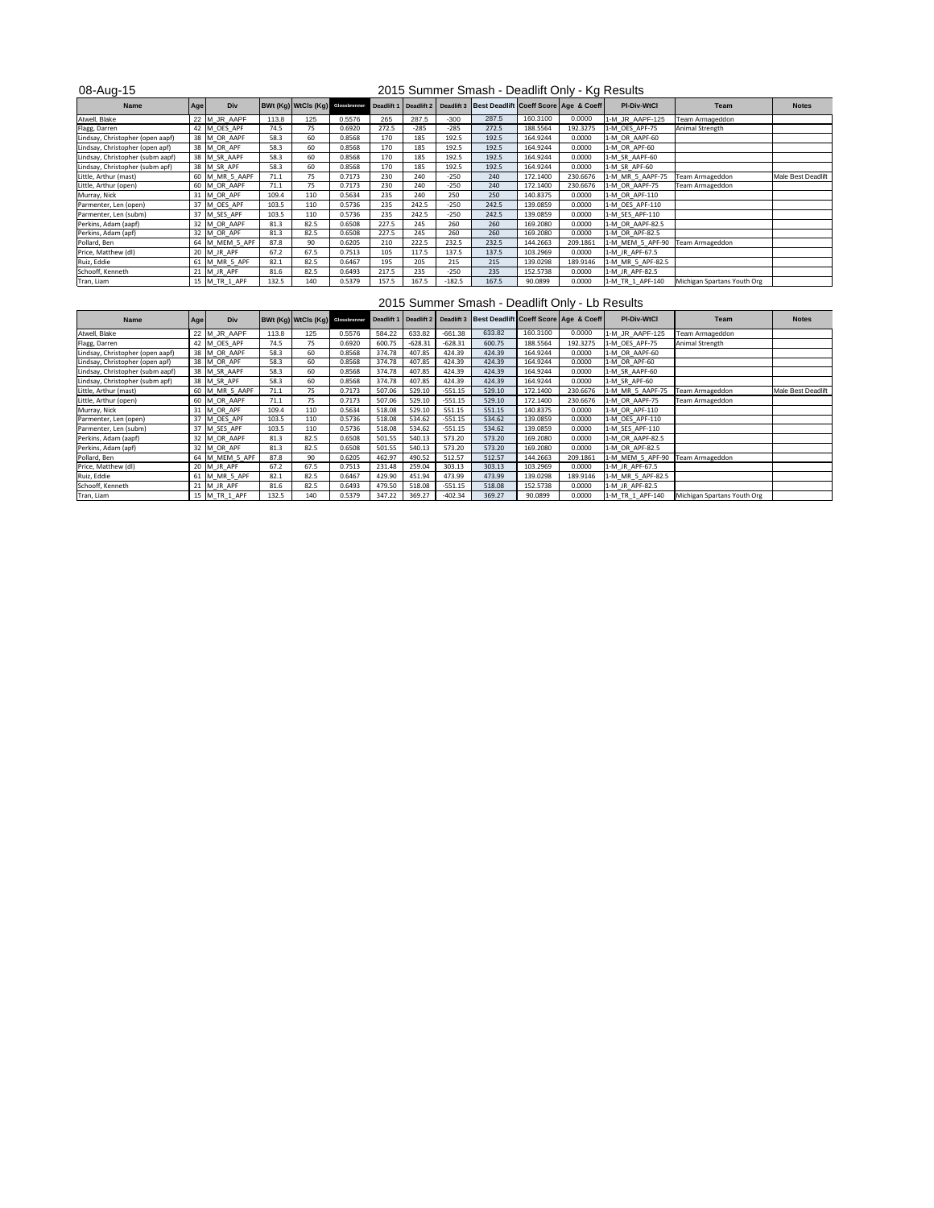| 08-Aug-15                        |           |                |       |                                         |        | 2015 Summer Smash - Deadlift Only - Kg Results |            |          |                                                        |          |          |                    |                             |                    |  |  |  |  |
|----------------------------------|-----------|----------------|-------|-----------------------------------------|--------|------------------------------------------------|------------|----------|--------------------------------------------------------|----------|----------|--------------------|-----------------------------|--------------------|--|--|--|--|
| <b>Name</b>                      | Age       | <b>Div</b>     |       | <b>BWt (Kg) WtCls (Kg)</b> Glossbrenner |        | Deadlift 1                                     | Deadlift 2 |          | Deadlift 3   Best Deadlift   Coeff Score   Age & Coeff |          |          | <b>PI-Div-WtCl</b> | <b>Team</b>                 | <b>Notes</b>       |  |  |  |  |
| Atwell, Blake                    | $22 \,$ M | _JR_AAPF       | 113.8 | 125                                     | 0.5576 | 265                                            | 287.5      | $-300$   | 287.5                                                  | 160.3100 | 0.0000   | 1-M JR AAPF-125    | Team Armageddon             |                    |  |  |  |  |
| Flagg, Darren                    |           | 42 M OES APF   | 74.5  | 75                                      | 0.6920 | 272.5                                          | $-285$     | $-285$   | 272.5                                                  | 188.5564 | 192.3275 | 1-M OES APF-75     | Animal Strength             |                    |  |  |  |  |
| Lindsay, Christopher (open aapf) |           | 38 M_OR_AAPF   | 58.3  | 60                                      | 0.8568 | 170                                            | 185        | 192.5    | 192.5                                                  | 164.9244 | 0.0000   | 1-M OR AAPF-60     |                             |                    |  |  |  |  |
| Lindsay, Christopher (open apf)  |           | 38 M_OR_APF    | 58.3  | 60                                      | 0.8568 | 170                                            | 185        | 192.5    | 192.5                                                  | 164.9244 | 0.0000   | 1-M OR APF-60      |                             |                    |  |  |  |  |
| Lindsay, Christopher (subm aapf) |           | 38 M SR AAPF   | 58.3  | 60                                      | 0.8568 | 170                                            | 185        | 192.5    | 192.5                                                  | 164.9244 | 0.0000   | 1-M_SR_AAPF-60     |                             |                    |  |  |  |  |
| Lindsay, Christopher (subm apf)  |           | 38 M_SR_APF    | 58.3  | 60                                      | 0.8568 | 170                                            | 185        | 192.5    | 192.5                                                  | 164.9244 | 0.0000   | 1-M SR APF-60      |                             |                    |  |  |  |  |
| Little, Arthur (mast)            |           | 60 M MR 5 AAPF | 71.1  | 75                                      | 0.7173 | 230                                            | 240        | $-250$   | 240                                                    | 172.1400 | 230.6676 | 1-M MR 5 AAPF-75   | Team Armageddon             | Male Best Deadlift |  |  |  |  |
| Little, Arthur (open)            |           | 60 M OR AAPF   | 71.1  | 75                                      | 0.7173 | 230                                            | 240        | $-250$   | 240                                                    | 172.1400 | 230.6676 | 1-M_OR_AAPF-75     | Team Armageddon             |                    |  |  |  |  |
| Murray, Nick                     | 31        | M OR APF       | 109.4 | 110                                     | 0.5634 | 235                                            | 240        | 250      | 250                                                    | 140.8375 | 0.0000   | 1-M OR APF-110     |                             |                    |  |  |  |  |
| Parmenter, Len (open)            |           | 37 M OES APF   | 103.5 | 110                                     | 0.5736 | 235                                            | 242.5      | $-250$   | 242.5                                                  | 139.0859 | 0.0000   | 1-M_OES_APF-110    |                             |                    |  |  |  |  |
| Parmenter, Len (subm)            |           | 37 M SES APF   | 103.5 | 110                                     | 0.5736 | 235                                            | 242.5      | $-250$   | 242.5                                                  | 139.0859 | 0.0000   | 1-M SES APF-110    |                             |                    |  |  |  |  |
| Perkins, Adam (aapf)             |           | 32 M OR AAPF   | 81.3  | 82.5                                    | 0.6508 | 227.5                                          | 245        | 260      | 260                                                    | 169.2080 | 0.0000   | 1-M OR AAPF-82.5   |                             |                    |  |  |  |  |
| Perkins, Adam (apf)              |           | 32 M OR APF    | 81.3  | 82.5                                    | 0.6508 | 227.5                                          | 245        | 260      | 260                                                    | 169.2080 | 0.0000   | 1-M OR APF-82.5    |                             |                    |  |  |  |  |
| Pollard, Ben                     |           | 64 M_MEM_5_APF | 87.8  | 90                                      | 0.6205 | 210                                            | 222.5      | 232.5    | 232.5                                                  | 144.2663 | 209.1861 | 1-M_MEM_5_APF-90   | Team Armageddon             |                    |  |  |  |  |
| Price, Matthew (dl)              |           | $20$ M JR APF  | 67.2  | 67.5                                    | 0.7513 | 105                                            | 117.5      | 137.5    | 137.5                                                  | 103.2969 | 0.0000   | 1-M JR APF-67.5    |                             |                    |  |  |  |  |
| Ruiz, Eddie                      |           | 61 M MR 5 APF  | 82.1  | 82.5                                    | 0.6467 | 195                                            | 205        | 215      | 215                                                    | 139.0298 | 189.9146 | 1-M_MR_5_APF-82.5  |                             |                    |  |  |  |  |
| Schooff, Kenneth                 |           | $21$ M JR APF  | 81.6  | 82.5                                    | 0.6493 | 217.5                                          | 235        | $-250$   | 235                                                    | 152.5738 | 0.0000   | 1-M JR APF-82.5    |                             |                    |  |  |  |  |
| Tran, Liam                       |           | 15 M TR 1 APF  | 132.5 | 140                                     | 0.5379 | 157.5                                          | 167.5      | $-182.5$ | 167.5                                                  | 90.0899  | 0.0000   | 1-M TR 1 APF-140   | Michigan Spartans Youth Org |                    |  |  |  |  |

2015 Summer Smash - Deadlift Only - Kg Results

2015 Summer Smash - Deadlift Only - Lb Results

| <b>Name</b>                      | <b>Age</b> | Div            |       | <b>BWt (Kg) WtCls (Kg)</b> Glossbrenner |        |        |           |           | Deadlift 1   Deadlift 2   Deadlift 3   Best Deadlift   Coeff Score   Age & Coeff |          |          | <b>PI-Div-WtCl</b> | Team                        | <b>Notes</b>       |
|----------------------------------|------------|----------------|-------|-----------------------------------------|--------|--------|-----------|-----------|----------------------------------------------------------------------------------|----------|----------|--------------------|-----------------------------|--------------------|
| Atwell, Blake                    |            | 22 M_JR_AAPF   | 113.8 | 125                                     | 0.5576 | 584.22 | 633.82    | $-661.38$ | 633.82                                                                           | 160.3100 | 0.0000   | 1-M_JR_AAPF-125    | Team Armageddon             |                    |
| Flagg, Darren                    |            | 42 M OES APF   | 74.5  | 75                                      | 0.6920 | 600.75 | $-628.31$ | $-628.31$ | 600.75                                                                           | 188.5564 | 192.3275 | 1-M OES APF-75     | Animal Strength             |                    |
| Lindsay, Christopher (open aapf) |            | 38 M OR AAPF   | 58.3  | 60                                      | 0.8568 | 374.78 | 407.85    | 424.39    | 424.39                                                                           | 164.9244 | 0.0000   | 1-M_OR_AAPF-60     |                             |                    |
| Lindsay, Christopher (open apf)  |            | 38 M_OR_APF    | 58.3  | 60                                      | 0.8568 | 374.78 | 407.85    | 424.39    | 424.39                                                                           | 164.9244 | 0.0000   | 1-M OR APF-60      |                             |                    |
| Lindsay, Christopher (subm aapf) |            | 38 M_SR_AAPF   | 58.3  | 60                                      | 0.8568 | 374.78 | 407.85    | 424.39    | 424.39                                                                           | 164.9244 | 0.0000   | 1-M SR AAPF-60     |                             |                    |
| Lindsay, Christopher (subm apf)  |            | 38 M_SR_APF    | 58.3  | 60                                      | 0.8568 | 374.78 | 407.85    | 424.39    | 424.39                                                                           | 164.9244 | 0.0000   | 1-M SR APF-60      |                             |                    |
| Little, Arthur (mast)            |            | 60 M_MR_5_AAPF | 71.1  | 75                                      | 0.7173 | 507.06 | 529.10    | $-551.15$ | 529.10                                                                           | 172.1400 | 230.6676 | 1-M MR 5 AAPF-75   | Team Armageddon             | Male Best Deadlift |
| Little, Arthur (open)            |            | 60 M OR AAPF   | 71.1  | 75                                      | 0.7173 | 507.06 | 529.10    | $-551.15$ | 529.10                                                                           | 172.1400 | 230.6676 | 1-M OR AAPF-75     | Team Armageddon             |                    |
| Murray, Nick                     |            | M OR APF       | 109.4 | 110                                     | 0.5634 | 518.08 | 529.10    | 551.15    | 551.15                                                                           | 140.8375 | 0.0000   | 1-M_OR_APF-110     |                             |                    |
| Parmenter, Len (open)            |            | M_OES_APF      | 103.5 | 110                                     | 0.5736 | 518.08 | 534.62    | $-551.15$ | 534.62                                                                           | 139.0859 | 0.0000   | 1-M_OES_APF-110    |                             |                    |
| Parmenter, Len (subm)            |            | M_SES_APF      | 103.5 | 110                                     | 0.5736 | 518.08 | 534.62    | $-551.15$ | 534.62                                                                           | 139.0859 | 0.0000   | 1-M_SES_APF-110    |                             |                    |
| Perkins, Adam (aapf)             |            | M_OR_AAPF      | 81.3  | 82.5                                    | 0.6508 | 501.55 | 540.13    | 573.20    | 573.20                                                                           | 169.2080 | 0.0000   | 1-M OR AAPF-82.5   |                             |                    |
| Perkins, Adam (apf)              |            | 32 M OR APF    | 81.3  | 82.5                                    | 0.6508 | 501.55 | 540.13    | 573.20    | 573.20                                                                           | 169.2080 | 0.0000   | 1-M OR APF-82.5    |                             |                    |
| Pollard, Ben                     | 64         | M MEM 5 APF    | 87.8  | 90                                      | 0.6205 | 462.97 | 490.52    | 512.57    | 512.57                                                                           | 144.2663 | 209.1861 | 1-M MEM 5 APF-90   | Team Armageddon             |                    |
| Price, Matthew (dl)              |            | $20$ M JR APF  | 67.2  | 67.5                                    | 0.7513 | 231.48 | 259.04    | 303.13    | 303.13                                                                           | 103.2969 | 0.0000   | 1-M_JR_APF-67.5    |                             |                    |
| Ruiz, Eddie                      | 61         | M_MR_5_APF     | 82.1  | 82.5                                    | 0.6467 | 429.90 | 451.94    | 473.99    | 473.99                                                                           | 139.0298 | 189.9146 | 1-M_MR_5_APF-82.5  |                             |                    |
| Schooff, Kenneth                 |            | M_JR_APF       | 81.6  | 82.5                                    | 0.6493 | 479.50 | 518.08    | $-551.15$ | 518.08                                                                           | 152.5738 | 0.0000   | 1-M JR APF-82.5    |                             |                    |
| Tran, Liam                       |            | M TR 1 APF     | 132.5 | 140                                     | 0.5379 | 347.22 | 369.27    | $-402.34$ | 369.27                                                                           | 90.0899  | 0.0000   | 1-M TR 1 APF-140   | Michigan Spartans Youth Org |                    |